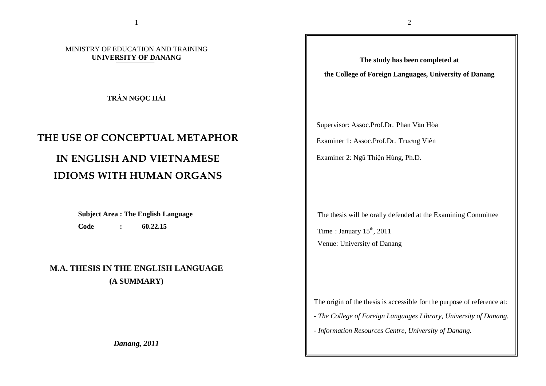### MINISTRY OF EDUCATION AND TRAINING **UNIVERSITY OF DANANG**

**TR**Ầ**N NG**Ọ**C H**Ả**I** 

# THE USE OF CONCEPTUAL METAPHOR

# IN ENGLISH AND VIETNAMESE IDIOMS WITH HUMAN ORGANS

**Subject Area : The English Language Code : 60.22.15** 

**M.A. THESIS IN THE ENGLISH LANGUAGE (A SUMMARY)** 

*Danang, 2011* 

**The study has been completed at the College of Foreign Languages, University of Danang** 

Supervisor: Assoc.Prof.Dr. Phan Văn Hòa Examiner 1: Assoc.Prof.Dr. Trương Viên Examiner 2: Ngũ Thiện Hùng, Ph.D.

The thesis will be orally defended at the Examining Committee Time: January  $15<sup>th</sup>$ , 2011

Venue: University of Danang

The origin of the thesis is accessible for the purpose of reference at:

- *The College of Foreign Languages Library, University of Danang.*
- *Information Resources Centre, University of Danang.*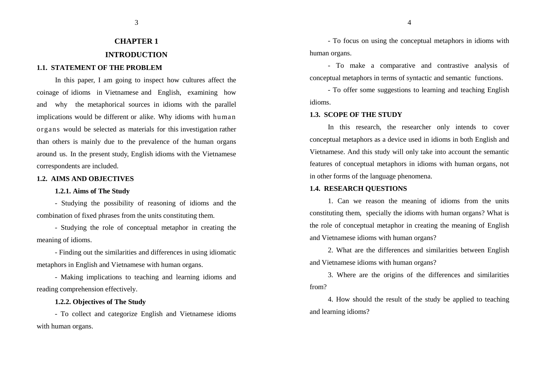## **CHAPTER 1 INTRODUCTION**

3

#### **1.1. STATEMENT OF THE PROBLEM**

In this paper, I am going to inspect how cultures affect the coinage of idioms in Vietnamese and English, examining how and why the metaphorical sources in idioms with the parallel implications would be different or alike. Why idioms with human organs would be selected as materials for this investigation rather than others is mainly due to the prevalence of the human organs around us. In the present study, English idioms with the Vietnamese correspondents are included.

#### **1.2. AIMS AND OBJECTIVES**

#### **1.2.1. Aims of The Study**

- Studying the possibility of reasoning of idioms and the combination of fixed phrases from the units constituting them.

- Studying the role of conceptual metaphor in creating the meaning of idioms.

- Finding out the similarities and differences in using idiomatic metaphors in English and Vietnamese with human organs.

- Making implications to teaching and learning idioms and reading comprehension effectively.

### **1.2.2. Objectives of The Study**

- To collect and categorize English and Vietnamese idioms with human organs.

- To focus on using the conceptual metaphors in idioms with human organs.

4

- To make a comparative and contrastive analysis ofconceptual metaphors in terms of syntactic and semantic functions.

- To offer some suggestions to learning and teaching English idioms.

#### **1.3. SCOPE OF THE STUDY**

In this research, the researcher only intends to cover conceptual metaphors as a device used in idioms in both English and Vietnamese. And this study will only take into account the semantic features of conceptual metaphors in idioms with human organs, not in other forms of the language phenomena.

### **1.4. RESEARCH QUESTIONS**

1. Can we reason the meaning of idioms from the units constituting them, specially the idioms with human organs? What is the role of conceptual metaphor in creating the meaning of English and Vietnamese idioms with human organs?

2. What are the differences and similarities between English and Vietnamese idioms with human organs?

3. Where are the origins of the differences and similarities from?

4. How should the result of the study be applied to teaching and learning idioms?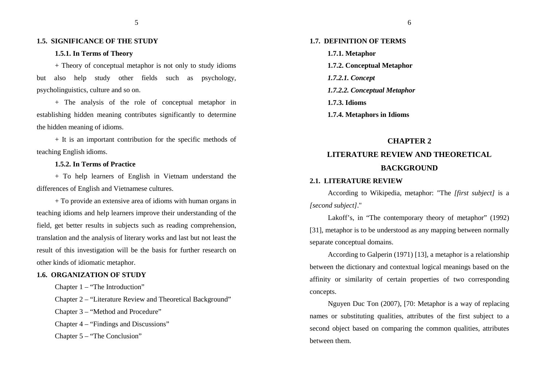5

#### **1.5. SIGNIFICANCE OF THE STUDY**

#### **1.5.1. In Terms of Theory**

+ Theory of conceptual metaphor is not only to study idioms but also help study other fields such as psychology, psycholinguistics, culture and so on.

+ The analysis of the role of conceptual metaphor in establishing hidden meaning contributes significantly to determine the hidden meaning of idioms.

+ It is an important contribution for the specific methods of teaching English idioms.

#### **1.5.2. In Terms of Practice**

+ To help learners of English in Vietnam understand the differences of English and Vietnamese cultures.

+ To provide an extensive area of idioms with human organs in teaching idioms and help learners improve their understanding of the field, get better results in subjects such as reading comprehension, translation and the analysis of literary works and last but not least the result of this investigation will be the basis for further research on other kinds of idiomatic metaphor.

#### **1.6. ORGANIZATION OF STUDY**

Chapter 1 – "The Introduction"

Chapter 2 – "Literature Review and Theoretical Background"

Chapter 3 – "Method and Procedure"

Chapter 4 – "Findings and Discussions"

Chapter 5 – "The Conclusion"

## **1.7. DEFINITION OF TERMS 1.7.1. Metaphor 1.7.2. Conceptual Metaphor** *1.7.2.1. Concept 1.7.2.2. Conceptual Metaphor* **1.7.3. Idioms**

- 
- **1.7.4. Metaphors in Idioms**

#### **CHAPTER 2**

## **LITERATURE REVIEW AND THEORETICAL BACKGROUND**

#### **2.1. LITERATURE REVIEW**

According to Wikipedia, metaphor: "The *[first subject]* is a *[second subject]*."

Lakoff's, in "The contemporary theory of metaphor" (1992) [31], metaphor is to be understood as any mapping between normally separate conceptual domains.

According to Galperin (1971) [13], a metaphor is a relationship between the dictionary and contextual logical meanings based on the affinity or similarity of certain properties of two corresponding concepts.

Nguyen Duc Ton (2007), [70: Metaphor is a way of replacing names or substituting qualities, attributes of the first subject to a second object based on comparing the common qualities, attributes between them.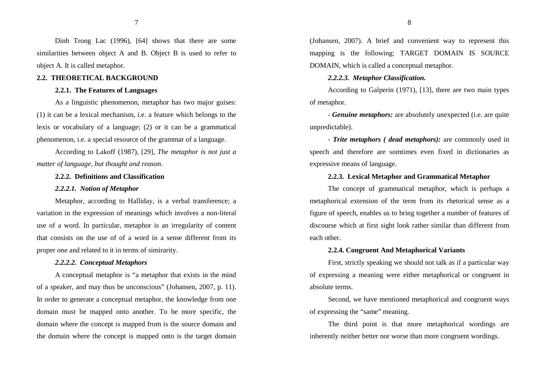Dinh Trong Lac (1996), [64] shows that there are some similarities between object A and B. Object B is used to refer to object A. It is called metaphor.

#### **2.2. THEORETICAL BACKGROUND**

### **2.2.1. The Features of Languages**

As a linguistic phenomenon, metaphor has two major guises: (1) it can be a lexical mechanism, i.e. a feature which belongs to the lexis or vocabulary of a language; (2) or it can be a grammatical phenomenon, i.e. a special resource of the grammar of a language.

According to Lakoff (1987), [29], *The metaphor is not just a matter of language, but thought and reason*.

#### **2.2.2. Definitions and Classification**

#### *2.2.2.1. Notion of Metaphor*

Metaphor, according to Halliday, is a verbal transference; a variation in the expression of meanings which involves a non-literal use of a word. In particular, metaphor is an irregularity of content that consists on the use of of a word in a sense different from its proper one and related to it in terms of simirarity.

#### *2.2.2.2. Conceptual Metaphors*

A conceptual metaphor is "a metaphor that exists in the mind of a speaker, and may thus be unconscious" (Johansen, 2007, p. 11). In order to generate a conceptual metaphor, the knowledge from one domain must be mapped onto another. To be more specific, the domain where the concept is mapped from is the source domain and the domain where the concept is mapped onto is the target domain (Johansen, 2007). A brief and convenient way to represent this mapping is the following: TARGET DOMAIN IS SOURCE DOMAIN, which is called a conceptual metaphor.

#### *2.2.2.3. Metaphor Classification.*

According to Galperin (1971), [13], there are two main types of metaphor.

- *Genuine metaphors:* are absolutely unexpected (i.e. are quite unpredictable).

- *Trite metaphors ( dead metaphors):* are commonly used in speech and therefore are somtimes even fixed in dictionaries as expressive means of language.

### **2.2.3. Lexical Metaphor and Grammatical Metaphor**

The concept of grammatical metaphor, which is perhaps a metaphorical extension of the term from its rhetorical sense as a figure of speech, enables us to bring together a number of features of discourse which at first sight look rather similar than different from each other.

#### **2.2.4. Congruent And Metaphorical Variants**

First, strictly speaking we should not talk as if a particular way of expressing a meaning were either metaphorical or congruent in absolute terms.

Second, we have mentioned metaphorical and congruent ways of expressing the "same" meaning.

The third point is that more metaphorical wordings are inherently neither better nor worse than more congruent wordings.

7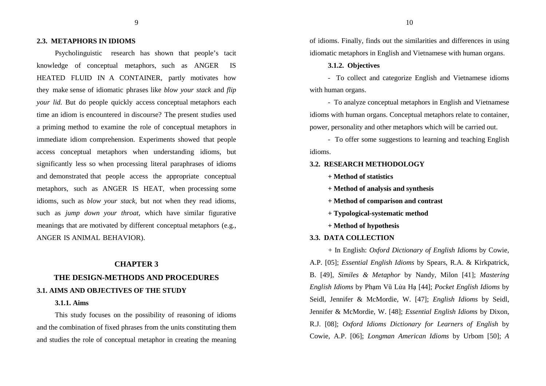9

#### **2.3. METAPHORS IN IDIOMS**

Psycholinguistic research has shown that people's tacit knowledge of conceptual metaphors, such as ANGER IS HEATED FLUID IN A CONTAINER, partly motivates how they make sense of idiomatic phrases like *blow your stack* and *flip your lid.* But do people quickly access conceptual metaphors each time an idiom is encountered in discourse? The present studies used a priming method to examine the role of conceptual metaphors in immediate idiom comprehension. Experiments showed that people access conceptual metaphors when understanding idioms, but significantly less so when processing literal paraphrases of idioms and demonstrated that people access the appropriate conceptual metaphors, such as ANGER IS HEAT, when processing some idioms, such as *blow your stack,* but not when they read idioms, such as *jump down your throat,* which have similar figurative meanings that are motivated by different conceptual metaphors (e.g., ANGER IS ANIMAL BEHAVIOR).

## **CHAPTER 3 THE DESIGN-METHODS AND PROCEDURES 3.1. AIMS AND OBJECTIVES OF THE STUDY**

#### **3.1.1. Aims**

This study focuses on the possibility of reasoning of idioms and the combination of fixed phrases from the units constituting them and studies the role of conceptual metaphor in creating the meaning of idioms. Finally, finds out the similarities and differences in using idiomatic metaphors in English and Vietnamese with human organs.

#### **3.1.2. Objectives**

- To collect and categorize English and Vietnamese idioms with human organs.

- To analyze conceptual metaphors in English and Vietnamese idioms with human organs. Conceptual metaphors relate to container, power, personality and other metaphors which will be carried out.

- To offer some suggestions to learning and teaching English idioms.

#### **3.2. RESEARCH METHODOLOGY**

**+ Method of statistics** 

**+ Method of analysis and synthesis** 

**+ Method of comparison and contrast** 

- **+ Typological-systematic method**
- **+ Method of hypothesis**

#### **3.3. DATA COLLECTION**

+ In English: *Oxford Dictionary of English Idioms* by Cowie, A.P. [05]; *Essential English Idioms* by Spears, R.A. & Kirkpatrick, B. [49], *Similes & Metaphor* by Nandy, Milon [41]; *Mastering English Idioms* by Phạm Vũ Lửa Hạ [44]; *Pocket English Idioms* by Seidl, Jennifer & McMordie, W. [47]; *English Idioms* by Seidl, Jennifer & McMordie, W. [48]; *Essential English Idioms* by Dixon, R.J. [08]; *Oxford Idioms Dictionary for Learners of English* by Cowie, A.P. [06]; *Longman American Idioms* by Urbom [50]; *A*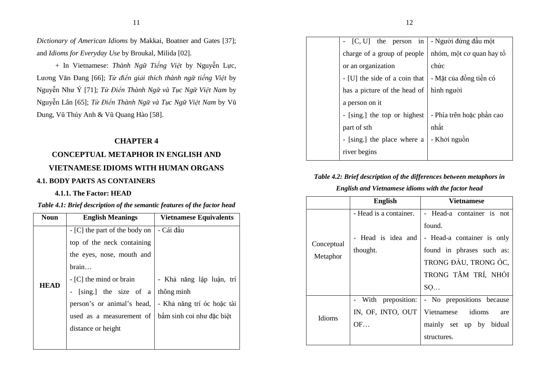11

*Dictionary of American Idioms* by Makkai, Boatner and Gates [37]; and *Idioms for Everyday Use* by Broukal, Milida [02].

+ In Vietnamese: *Thành Ng*ữ *Ti*ế*ng Vi*ệ*t* by Nguyễn Lực, Lương Văn Đang [66]; *T*ừ <sup>ñ</sup>*i*ể*n gi*ả*i thích thành ng*ữ *ti*ế*ng Vi*ệ*t* by Nguyễn Như Ý [71]; *T*<sup>ừ</sup> <sup>Đ</sup>*i*ể*n Thành Ng*ữ *và T*ụ*c Ng*ữ *Vi*ệ*t Nam* by Nguyễn Lân [65]; *T*ừ <sup>Đ</sup>*i*ể*n Thành Ng*ữ *và T*ụ*c Ng*ữ *Vi*ệ*t Nam* by V<sup>ũ</sup> Dung, Vũ Thúy Anh & Vũ Quang Hào [58].

### **CHAPTER 4**

### **CONCEPTUAL METAPHOR IN ENGLISH AND**

### **VIETNAMESE IDIOMS WITH HUMAN ORGANS**

### **4.1. BODY PARTS AS CONTAINERS**

### **4.1.1. The Factor: HEAD**

### *Table 4.1: Brief description of the semantic features of the factor head*

| <b>Noun</b> | <b>English Meanings</b>       | <b>Vietnamese Equivalents</b> |
|-------------|-------------------------------|-------------------------------|
|             | - [C] the part of the body on | - Cái đầu                     |
|             | top of the neck containing    |                               |
|             | the eyes, nose, mouth and     |                               |
|             | brain                         |                               |
| <b>HEAD</b> | $-[C]$ the mind or brain      | - Khả năng lập luận, trí      |
|             | [sing.] the size of a         | thông minh                    |
|             | person's or animal's head,    | - Khả năng trí óc hoặc tài    |
|             | used as a measurement of      | bầm sinh coi như đặc biệt     |
|             | distance or height            |                               |
|             |                               |                               |

| - $[C, U]$ the person in - Người đứng đầu một |                           |
|-----------------------------------------------|---------------------------|
| charge of a group of people                   | nhóm, một cơ quan hay tổ  |
| or an organization                            | chức                      |
| - [U] the side of a coin that                 | - Mặt của đồng tiền có    |
| has a picture of the head of                  | hình người                |
| a person on it                                |                           |
| - [sing.] the top or highest                  | - Phía trên hoặc phần cao |
| part of sth                                   | nhất                      |
| - [sing.] the place where a                   | - Khởi nguồn              |
| river begins                                  |                           |

### *Table 4.2: Brief description of the differences between metaphors in*

### *English and Vietnamese idioms with the factor head*

|            | <b>English</b>         | Vietnamese                  |  |
|------------|------------------------|-----------------------------|--|
|            | - Head is a container. | - Head-a container is not   |  |
|            |                        | found.                      |  |
| Conceptual | Head is idea and       | - Head-a container is only  |  |
|            | thought.               | found in phrases such as:   |  |
| Metaphor   |                        | TRONG ĐẦU, TRONG ÓC,        |  |
|            |                        | TRONG TÂM TRÍ, NHỒI         |  |
|            |                        | SO                          |  |
|            | preposition:<br>- With | - No prepositions because   |  |
| Idioms     | IN, OF, INTO, OUT      | idioms<br>Vietnamese<br>are |  |
|            | OF                     | mainly set up by bidual     |  |
|            |                        | structures.                 |  |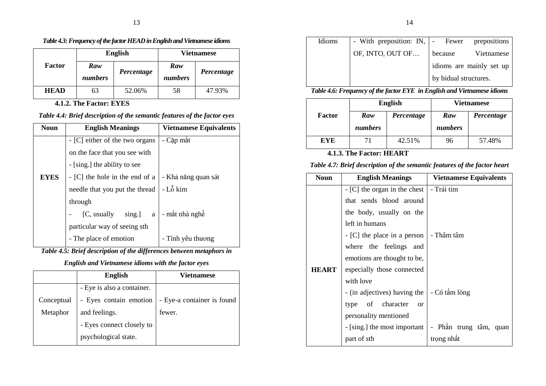### *Table 4.3: Frequency of the factor HEAD in English and Vietnamese idioms*

|             | <b>English</b> |            | <b>Vietnamese</b> |            |
|-------------|----------------|------------|-------------------|------------|
| Factor      | Raw<br>numbers | Percentage | Raw<br>numbers    | Percentage |
| <b>HEAD</b> | 63             | 52.06%     | 58                | 47.93%     |

**4.1.2. The Factor: EYES** 

### *Table 4.4: Brief description of the semantic features of the factor eyes*

| <b>Noun</b> | <b>English Meanings</b>        | <b>Vietnamese Equivalents</b> |
|-------------|--------------------------------|-------------------------------|
|             | - [C] either of the two organs | - Cặp măt                     |
|             | on the face that you see with  |                               |
|             | - [sing.] the ability to see   |                               |
| <b>EYES</b> | - [C] the hole in the end of a | - Khả năng quan sát           |
|             | needle that you put the thread | - Lỗ kim                      |
|             | through                        |                               |
|             | $sing.$ ] a<br>[C, usually]    | - mắt nhà nghề                |
|             | particular way of seeing sth   |                               |
|             | - The place of emotion         | - Tình yêu thương             |

*Table 4.5: Brief description of the differences between metaphors in* 

*English and Vietnamese idioms with the factor eyes* 

|            | <b>English</b>             | <b>Vietnamese</b>          |
|------------|----------------------------|----------------------------|
|            | - Eye is also a container. |                            |
| Conceptual | - Eyes contain emotion     | - Eye-a container is found |
| Metaphor   | and feelings.              | fewer.                     |
|            | - Eyes connect closely to  |                            |
|            | psychological state.       |                            |

| Idioms |                  | - With preposition: IN,   - Fewer prepositions |
|--------|------------------|------------------------------------------------|
|        | OF, INTO, OUT OF | Vietnamese<br>because                          |
|        |                  | idioms are mainly set up                       |
|        |                  | by bidual structures.                          |

*Table 4.6: Frequency of the factor EYE in English and Vietnamese idioms* 

|            | <b>English</b> |            | <b>Vietnamese</b> |            |
|------------|----------------|------------|-------------------|------------|
| Factor     | Raw            | Percentage | Raw               | Percentage |
|            | numbers        |            | numbers           |            |
| <b>EYE</b> | 71             | 42.51%     | 96                | 57.48%     |

### **4.1.3. The Factor: HEART**

### *Table 4.7: Brief description of the semantic features of the factor heart*

| <b>Noun</b>  | <b>English Meanings</b>       | <b>Vietnamese Equivalents</b> |
|--------------|-------------------------------|-------------------------------|
|              | $-[C]$ the organ in the chest | - Trái tim                    |
|              | that sends blood around       |                               |
|              | the body, usually on the      |                               |
|              | left in humans                |                               |
|              | - [C] the place in a person   | - Thâm tâm                    |
|              | where the feelings and        |                               |
|              | emotions are thought to be,   |                               |
| <b>HEART</b> | especially those connected    |                               |
|              | with love                     |                               |
|              | - (in adjectives) having the  | - Có tấm lòng                 |
|              | type of character<br>$\alpha$ |                               |
|              | personality mentioned         |                               |
|              | - [sing.] the most important  | - Phần trung tâm, quan        |
|              | part of sth                   | trọng nhất                    |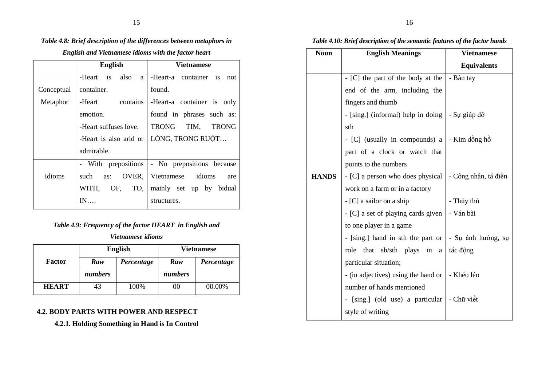### *Table 4.8: Brief description of the differences between metaphors in*

*English and Vietnamese idioms with the factor heart*

|               | <b>English</b>         | <b>Vietnamese</b>                               |
|---------------|------------------------|-------------------------------------------------|
|               | -Heart is<br>also<br>a | -Heart-a container is<br>not                    |
| Conceptual    | container.             | found.                                          |
| Metaphor      | -Heart contains        | -Heart-a container is only                      |
|               | emotion.               | found in phrases such as:                       |
|               | -Heart suffuses love.  | TRONG TIM, TRONG                                |
|               | -Heart is also arid or | LÒNG, TRONG RUỘT                                |
|               | admirable.             |                                                 |
|               |                        | - With prepositions   - No prepositions because |
| <b>Idioms</b> | such<br>as:            | OVER, Vietnamese idioms<br>are                  |
|               | WITH.<br>OF, TO,       | mainly set up by bidual                         |
|               | IN                     | structures.                                     |

### *Table 4.9: Frequency of the factor HEART in English and*

*Vietnamese idioms* 

|              | <b>English</b> |            | <b>Vietnamese</b> |            |
|--------------|----------------|------------|-------------------|------------|
| Factor       | Raw            | Percentage | Raw               | Percentage |
|              | numbers        |            | numbers           |            |
| <b>HEART</b> |                | 100%       | 00                | 00.00%     |

### **4.2. BODY PARTS WITH POWER AND RESPECT**

**4.2.1. Holding Something in Hand is In Control** 

### *Table 4.10: Brief description of the semantic features of the factor hands*

| <b>Noun</b>  | <b>English Meanings</b>                                 | <b>Vietnamese</b>                     |
|--------------|---------------------------------------------------------|---------------------------------------|
|              |                                                         | <b>Equivalents</b>                    |
|              | - [C] the part of the body at the                       | - Bàn tay                             |
|              | end of the arm, including the                           |                                       |
|              | fingers and thumb                                       |                                       |
|              | - [sing.] (informal) help in doing                      | $\overline{\phantom{a}}$ - Su giúp đỡ |
|              | sth                                                     |                                       |
|              | - [C] (usually in compounds) a $\vert$ - Kim đồng hồ    |                                       |
|              | part of a clock or watch that                           |                                       |
|              | points to the numbers                                   |                                       |
| <b>HANDS</b> | - [C] a person who does physical   - Công nhân, tá điền |                                       |
|              | work on a farm or in a factory                          |                                       |
|              | $-[C]$ a sailor on a ship                               | - Thủy thủ                            |
|              | - [C] a set of playing cards given                      | - Ván bài                             |
|              | to one player in a game                                 |                                       |
|              | - [sing.] hand in sth the part or   - Su anh huong, su  |                                       |
|              | that sb/sth plays in a<br>role                          | tác động                              |
|              | particular situation;                                   |                                       |
|              | - (in adjectives) using the hand or                     | - Khéo léo                            |
|              | number of hands mentioned                               |                                       |
|              | - [sing.] (old use) a particular - Chữ viết             |                                       |
|              | style of writing                                        |                                       |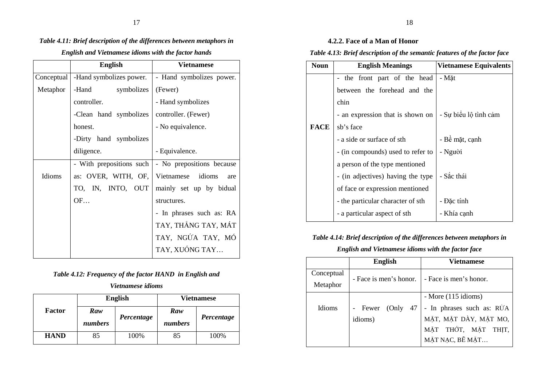### *Table 4.11: Brief description of the differences between metaphors in*

### *English and Vietnamese idioms with the factor hands*

|            | <b>English</b>           | <b>Vietnamese</b>         |  |
|------------|--------------------------|---------------------------|--|
| Conceptual | -Hand symbolizes power.  | - Hand symbolizes power.  |  |
| Metaphor   | -Hand<br>symbolizes      | (Fewer)                   |  |
|            | controller.              | - Hand symbolizes         |  |
|            | -Clean hand symbolizes   | controller. (Fewer)       |  |
|            | honest.                  | - No equivalence.         |  |
|            | -Dirty hand symbolizes   |                           |  |
|            | diligence.               | - Equivalence.            |  |
|            | - With prepositions such | - No prepositions because |  |
| Idioms     | as: OVER, WITH, OF,      | Vietnamese idioms<br>are  |  |
|            | TO, IN, INTO, OUT        | mainly set up by bidual   |  |
|            | OF                       | structures.               |  |
|            |                          | - In phrases such as: RA  |  |
|            |                          | TAY, THÅNG TAY, MÁT       |  |
|            |                          | TAY, NGỨA TAY, MÓ         |  |
|            |                          | TAY, XUÔNG TAY            |  |

### *Table 4.12: Frequency of the factor HAND in English and*

### *Vietnamese idioms*

|             | <b>English</b> |            | <b>Vietnamese</b> |            |
|-------------|----------------|------------|-------------------|------------|
| Factor      | Raw<br>numbers | Percentage | Raw<br>numbers    | Percentage |
| <b>HAND</b> | 85             | 100%       | 85                | 100%       |

### **4.2.2. Face of a Man of Honor**

### *Table 4.13: Brief description of the semantic features of the factor face*

| <b>Noun</b> | <b>English Meanings</b>           | <b>Vietnamese Equivalents</b> |  |
|-------------|-----------------------------------|-------------------------------|--|
|             | the front part of the head        | - Măt                         |  |
|             | between the forehead and the      |                               |  |
|             | chin                              |                               |  |
|             | - an expression that is shown on  | - Sự biểu lộ tình cảm         |  |
| <b>FACE</b> | sb's face                         |                               |  |
|             | - a side or surface of sth        | - Bề mặt, cạnh                |  |
|             | - (in compounds) used to refer to | - Người                       |  |
|             | a person of the type mentioned    |                               |  |
|             | - (in adjectives) having the type | - Sắc thái                    |  |
|             | of face or expression mentioned   |                               |  |
|             | - the particular character of sth | - Đặc tính                    |  |
|             | - a particular aspect of sth      | - Khía cạnh                   |  |

### *Table 4.14: Brief description of the differences between metaphors in*

### *English and Vietnamese idioms with the factor face*

|               | <b>English</b>         | Vietnamese                |  |
|---------------|------------------------|---------------------------|--|
| Conceptual    | - Face is men's honor. | - Face is men's honor.    |  |
| Metaphor      |                        |                           |  |
|               |                        | - More (115 idioms)       |  |
| <b>Idioms</b> | - Fewer<br>47<br>(Only | - In phrases such as: RÜA |  |
|               | idioms)                | MẶT, MẶT DÀY, MẶT MO,     |  |
|               |                        | MẶT THỚT, MẶT THỊT,       |  |
|               |                        | MẶT NẠC, BẾ MẶT           |  |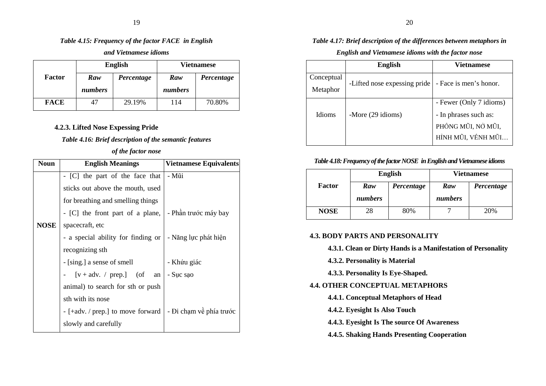### *Table 4.15: Frequency of the factor FACE in English*

*and Vietnamese idioms* 

|             | <b>English</b> |            | <b>Vietnamese</b> |            |
|-------------|----------------|------------|-------------------|------------|
| Factor      | Raw            | Percentage | Raw               | Percentage |
|             | numbers        |            | numbers           |            |
| <b>FACE</b> | 47             | 29.19%     | 114               | 70.80%     |

#### **4.2.3. Lifted Nose Expessing Pride**

### *Table 4.16: Brief description of the semantic features*

### *of the factor nose*

| <b>Noun</b> | <b>English Meanings</b>            | Vietnamese Equivalents  |
|-------------|------------------------------------|-------------------------|
|             | - [C] the part of the face that    | - Mũi                   |
|             | sticks out above the mouth, used   |                         |
|             | for breathing and smelling things  |                         |
|             | - [C] the front part of a plane,   | - Phần trước máy bay    |
| <b>NOSE</b> | spacecraft, etc                    |                         |
|             | - a special ability for finding or | - Năng lực phát hiện    |
|             | recognizing sth                    |                         |
|             | - [sing.] a sense of smell         | - Khứu giác             |
|             | - $[v + adv. / prep.]$ (of an      | - Suc sao               |
|             | animal) to search for sth or push  |                         |
|             | sth with its nose                  |                         |
|             | $-[+adv. / prep.]$ to move forward | - Đi chạm về phía trước |
|             | slowly and carefully               |                         |

### *Table 4.17: Brief description of the differences between metaphors in*

### *English and Vietnamese idioms with the factor nose*

|                        | <b>English</b>               | <b>Vietnamese</b>                                                                            |
|------------------------|------------------------------|----------------------------------------------------------------------------------------------|
| Conceptual<br>Metaphor | -Lifted nose expessing pride | - Face is men's honor.                                                                       |
| <b>Idioms</b>          | -More (29 idioms)            | - Fewer (Only 7 idioms)<br>- In phrases such as:<br>PHỒNG MŨI, NỞ MŨI,<br>HỈNH MŨI, VỀNH MŨI |

### *Table 4.18: Frequency of the factor NOSE in English and Vietnamese idioms*

|             | <b>English</b> |            | <b>Vietnamese</b> |            |
|-------------|----------------|------------|-------------------|------------|
| Factor      | Raw            | Percentage | Raw               | Percentage |
|             | numbers        |            | numbers           |            |
| <b>NOSE</b> | 28             | 80%        |                   | 20%        |

### **4.3. BODY PARTS AND PERSONALITY**

**4.3.1. Clean or Dirty Hands is a Manifestation of Personality** 

**4.3.2. Personality is Material** 

### **4.3.3. Personality Is Eye-Shaped.**

### **4.4. OTHER CONCEPTUAL METAPHORS**

- **4.4.1. Conceptual Metaphors of Head**
- **4.4.2. Eyesight Is Also Touch**
- **4.4.3. Eyesight Is The source Of Awareness**

### **4.4.5. Shaking Hands Presenting Cooperation**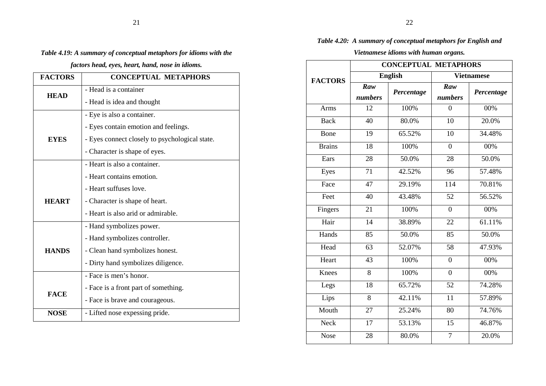#### *Table 4.19: A summary of conceptual metaphors for idioms with the*

*factors head, eyes, heart, hand, nose in idioms.* 

| <b>FACTORS</b> | <b>CONCEPTUAL METAPHORS</b>                    |
|----------------|------------------------------------------------|
| <b>HEAD</b>    | - Head is a container                          |
|                | - Head is idea and thought                     |
|                | - Eye is also a container.                     |
|                | - Eyes contain emotion and feelings.           |
| <b>EYES</b>    | - Eyes connect closely to psychological state. |
|                | - Character is shape of eyes.                  |
|                | - Heart is also a container.                   |
|                | - Heart contains emotion.                      |
|                | - Heart suffuses love.                         |
| <b>HEART</b>   | - Character is shape of heart.                 |
|                | - Heart is also arid or admirable.             |
|                | - Hand symbolizes power.                       |
|                | - Hand symbolizes controller.                  |
| <b>HANDS</b>   | - Clean hand symbolizes honest.                |
|                | - Dirty hand symbolizes diligence.             |
|                | - Face is men's honor.                         |
| <b>FACE</b>    | - Face is a front part of something.           |
|                | - Face is brave and courageous.                |
| <b>NOSE</b>    | - Lifted nose expessing pride.                 |

#### *Table 4.20: A summary of conceptual metaphors for English and*

### *Vietnamese idioms with human organs.*

|                | <b>CONCEPTUAL METAPHORS</b> |            |                   |            |
|----------------|-----------------------------|------------|-------------------|------------|
| <b>FACTORS</b> | <b>English</b>              |            | <b>Vietnamese</b> |            |
|                | Raw<br>numbers              | Percentage | Raw<br>numbers    | Percentage |
| Arms           | 12                          | 100%       | $\theta$          | 00%        |
| <b>Back</b>    | $\overline{40}$             | 80.0%      | 10                | 20.0%      |
| Bone           | 19                          | 65.52%     | 10                | 34.48%     |
| <b>Brains</b>  | 18                          | 100%       | $\overline{0}$    | 00%        |
| Ears           | 28                          | 50.0%      | 28                | 50.0%      |
| Eyes           | 71                          | 42.52%     | 96                | 57.48%     |
| Face           | $\overline{47}$             | 29.19%     | 114               | 70.81%     |
| Feet           | 40                          | 43.48%     | 52                | 56.52%     |
| Fingers        | 21                          | 100%       | $\overline{0}$    | 00%        |
| Hair           | 14                          | 38.89%     | 22                | 61.11%     |
| Hands          | 85                          | 50.0%      | 85                | 50.0%      |
| Head           | 63                          | 52.07%     | 58                | 47.93%     |
| Heart          | 43                          | 100%       | $\boldsymbol{0}$  | 00%        |
| Knees          | 8                           | 100%       | $\boldsymbol{0}$  | 00%        |
| Legs           | 18                          | 65.72%     | $\overline{52}$   | 74.28%     |
| Lips           | 8                           | 42.11%     | 11                | 57.89%     |
| Mouth          | 27                          | 25.24%     | 80                | 74.76%     |
| <b>Neck</b>    | 17                          | 53.13%     | 15                | 46.87%     |
| <b>Nose</b>    | 28                          | 80.0%      | $\overline{7}$    | 20.0%      |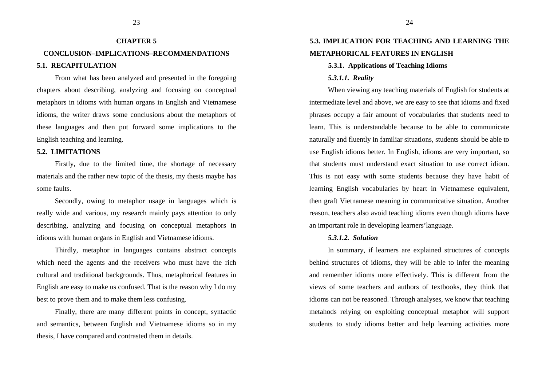## **CHAPTER 5 CONCLUSION–IMPLICATIONS–RECOMMENDATIONS 5.1. RECAPITULATION**

From what has been analyzed and presented in the foregoing chapters about describing, analyzing and focusing on conceptual metaphors in idioms with human organs in English and Vietnamese idioms, the writer draws some conclusions about the metaphors of these languages and then put forward some implications to the English teaching and learning.

#### **5.2. LIMITATIONS**

Firstly, due to the limited time, the shortage of necessary materials and the rather new topic of the thesis, my thesis maybe has some faults.

Secondly, owing to metaphor usage in languages which is really wide and various, my research mainly pays attention to only describing, analyzing and focusing on conceptual metaphors in idioms with human organs in English and Vietnamese idioms.

Thirdly, metaphor in languages contains abstract concepts which need the agents and the receivers who must have the rich cultural and traditional backgrounds. Thus, metaphorical features in English are easy to make us confused. That is the reason why I do my best to prove them and to make them less confusing.

Finally, there are many different points in concept, syntactic and semantics, between English and Vietnamese idioms so in my thesis, I have compared and contrasted them in details.

### **5.3. IMPLICATION FOR TEACHING AND LEARNING THE METAPHORICAL FEATURES IN ENGLISH**

#### **5.3.1. Applications of Teaching Idioms**

#### *5.3.1.1. Reality*

When viewing any teaching materials of English for students at intermediate level and above, we are easy to see that idioms and fixed phrases occupy a fair amount of vocabularies that students need to learn. This is understandable because to be able to communicate naturally and fluently in familiar situations, students should be able to use English idioms better. In English, idioms are very important, so that students must understand exact situation to use correct idiom. This is not easy with some students because they have habit of learning English vocabularies by heart in Vietnamese equivalent, then graft Vietnamese meaning in communicative situation. Another reason, teachers also avoid teaching idioms even though idioms have an important role in developing learners'language.

#### *5.3.1.2. Solution*

In summary, if learners are explained structures of concepts behind structures of idioms, they will be able to infer the meaning and remember idioms more effectively. This is different from the views of some teachers and authors of textbooks, they think that idioms can not be reasoned. Through analyses, we know that teaching metahods relying on exploiting conceptual metaphor will support students to study idioms better and help learning activities more